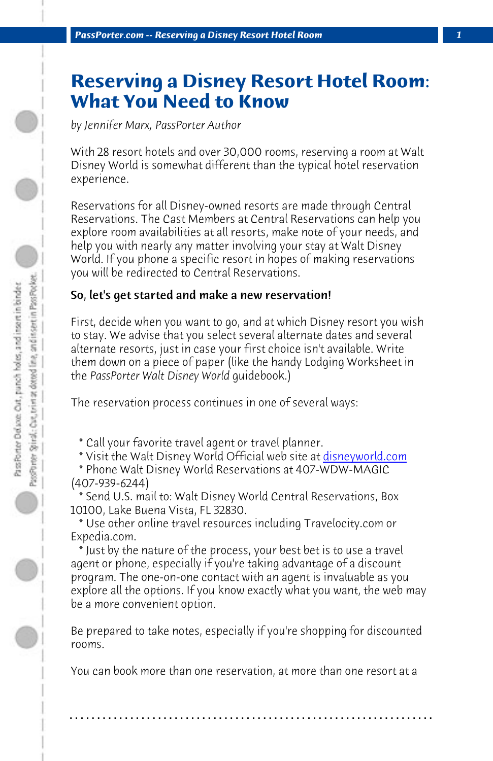*PassPorter.com -- Reserving a Disney Resort Hotel Room 1*

## **Reserving a Disney Resort Hotel Room: What You Need to Know**

*by Jennifer Marx, PassPorter Author*

With 28 resort hotels and over 30,000 rooms, reserving a room at Walt Disney World is somewhat different than the typical hotel reservation experience.

Reservations for all Disney-owned resorts are made through Central Reservations. The Cast Members at Central Reservations can help you explore room availabilities at all resorts, make not[e of your needs, an](http://www.disneyworld.com)d help you with nearly any matter involving your stay at Walt Disney World. If you phone a specific resort in hopes of making reservations you will be redirected to Central Reservations.

## So, let's get started and make a new reservation!

First, decide when you want to go, and at which Disney resort you wish to stay. We advise that you select several alternate dates and several alternate resorts, just in case your first choice isn't available. Write them down on a piece of paper (like the handy Lodging Worksheet in the *PassPorter Walt Disney World* guidebook.)

The reservation process continues in one of several ways:

\* Call your favorite travel agent or travel planner.

- \* Visit the Walt Disney World Official web site at disneyworld.com
- \* Phone Walt Disney World Reservations at 407-WDW-MAGIC (407-939-6244)

 \* Send U.S. mail to: Walt Disney World Central Reservations, Box 10100, Lake Buena Vista, FL 32830.

 \* Use other online travel resources including Travelocity.com or Expedia.com.

 \* Just by the nature of the process, your best bet is to use a travel agent or phone, especially if you're taking advantage of a discount program. The one-on-one contact with an agent is invaluable as you explore all the options. If you know exactly what you want, the web may be a more convenient option.

Be prepared to take notes, especially if you're shopping for discounted rooms.

You can book more than one reservation, at more than one resort at a

**. . . . . . . . . . . . . . . . . . . . . . . . . . . . . . . . . . . . . . . . . . . . . . . . . . . . . . . . . . . . . . . . . .**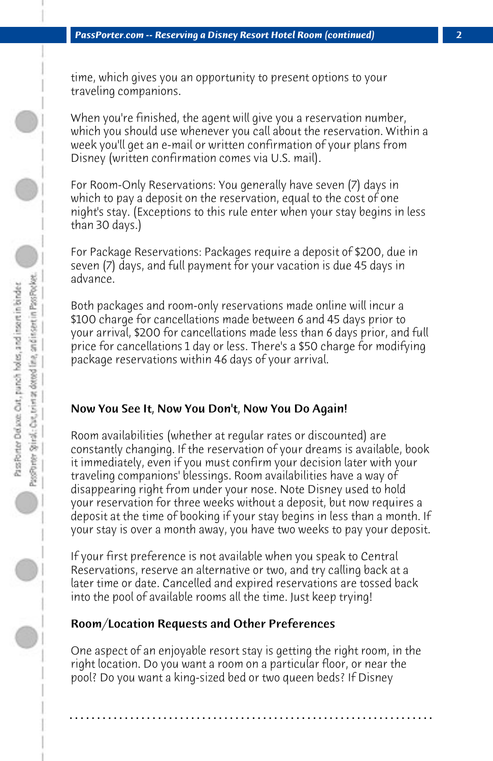time, which gives you an opportunity to present options to your traveling companions.

When you're finished, the agent will give you a reservation number, which you should use whenever you call about the reservation. Within a week you'll get an e-mail or written confirmation of your plans from Disney (written confirmation comes via U.S. mail).

For Room-Only Reservations: You generally have seven (7) days in which to pay a deposit on the reservation, equal to the cost of one night's stay. (Exceptions to this rule enter when your stay begins in less than 30 days.)

For Package Reservations: Packages require a deposit of \$200, due in seven (7) days, and full payment for your vacation is due 45 days in advance.

Both packages and room-only reservations made online will incur a \$100 charge for cancellations made between 6 and 45 days prior to your arrival, \$200 for cancellations made less than 6 days prior, and full price for cancellations 1 day or less. There's a \$50 charge for modifying package reservations within 46 days of your arrival.

## Now You See It, Now You Don't, Now You Do Again!

Room availabilities (whether at regular rates or discounted) are constantly changing. If the reservation of your dreams is available, book it immediately, even if you must confirm your decision later with your traveling companions' blessings. Room availabilities have a way of disappearing right from under your nose. Note Disney used to hold your reservation for three weeks without a deposit, but now requires a deposit at the time of booking if your stay begins in less than a month. If your stay is over a month away, you have two weeks to pay your deposit.

If your first preference is not available when you speak to Central Reservations, reserve an alternative or two, and try calling back at a later time or date. Cancelled and expired reservations are tossed back into the pool of available rooms all the time. Just keep trying!

## Room/Location Requests and Other Preferences

One aspect of an enjoyable resort stay is getting the right room, in the right location. Do you want a room on a particular floor, or near the pool? Do you want a king-sized bed or two queen beds? If Disney

**. . . . . . . . . . . . . . . . . . . . . . . . . . . . . . . . . . . . . . . . . . . . . . . . . . . . . . . . . . . . . . . . . .**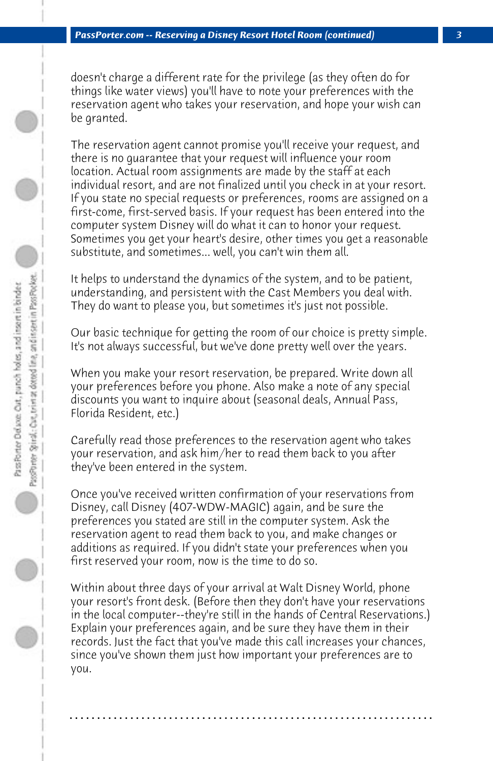doesn't charge a different rate for the privilege (as they often do for things like water views) you'll have to note your preferences with the reservation agent who takes your reservation, and hope your wish can be granted.

The reservation agent cannot promise you'll receive your request, and there is no guarantee that your request will influence your room location. Actual room assignments are made by the staff at each individual resort, and are not finalized until you check in at your resort. If you state no special requests or preferences, rooms are assigned on a first-come, first-served basis. If your request has been entered into the computer system Disney will do what it can to honor your request. Sometimes you get your heart's desire, other times you get a reasonable substitute, and sometimes... well, you can't win them all.

It helps to understand the dynamics of the system, and to be patient, understanding, and persistent with the Cast Members you deal with. They do want to please you, but sometimes it's just not possible.

Our basic technique for getting the room of our choice is pretty simple. It's not always successful, but we've done pretty well over the years.

When you make your resort reservation, be prepared. Write down all your preferences before you phone. Also make a note of any special discounts you want to inquire about (seasonal deals, Annual Pass, Florida Resident, etc.)

Carefully read those preferences to the reservation agent who takes your reservation, and ask him/her to read them back to you after they've been entered in the system.

Once you've received written confirmation of your reservations from Disney, call Disney (407-WDW-MAGIC) again, and be sure the preferences you stated are still in the computer system. Ask the reservation agent to read them back to you, and make changes or additions as required. If you didn't state your preferences when you first reserved your room, now is the time to do so.

Within about three days of your arrival at Walt Disney World, phone your resort's front desk. (Before then they don't have your reservations in the local computer--they're still in the hands of Central Reservations.) Explain your preferences again, and be sure they have them in their records. Just the fact that you've made this call increases your chances, since you've shown them just how important your preferences are to you.

**. . . . . . . . . . . . . . . . . . . . . . . . . . . . . . . . . . . . . . . . . . . . . . . . . . . . . . . . . . . . . . . . . .**